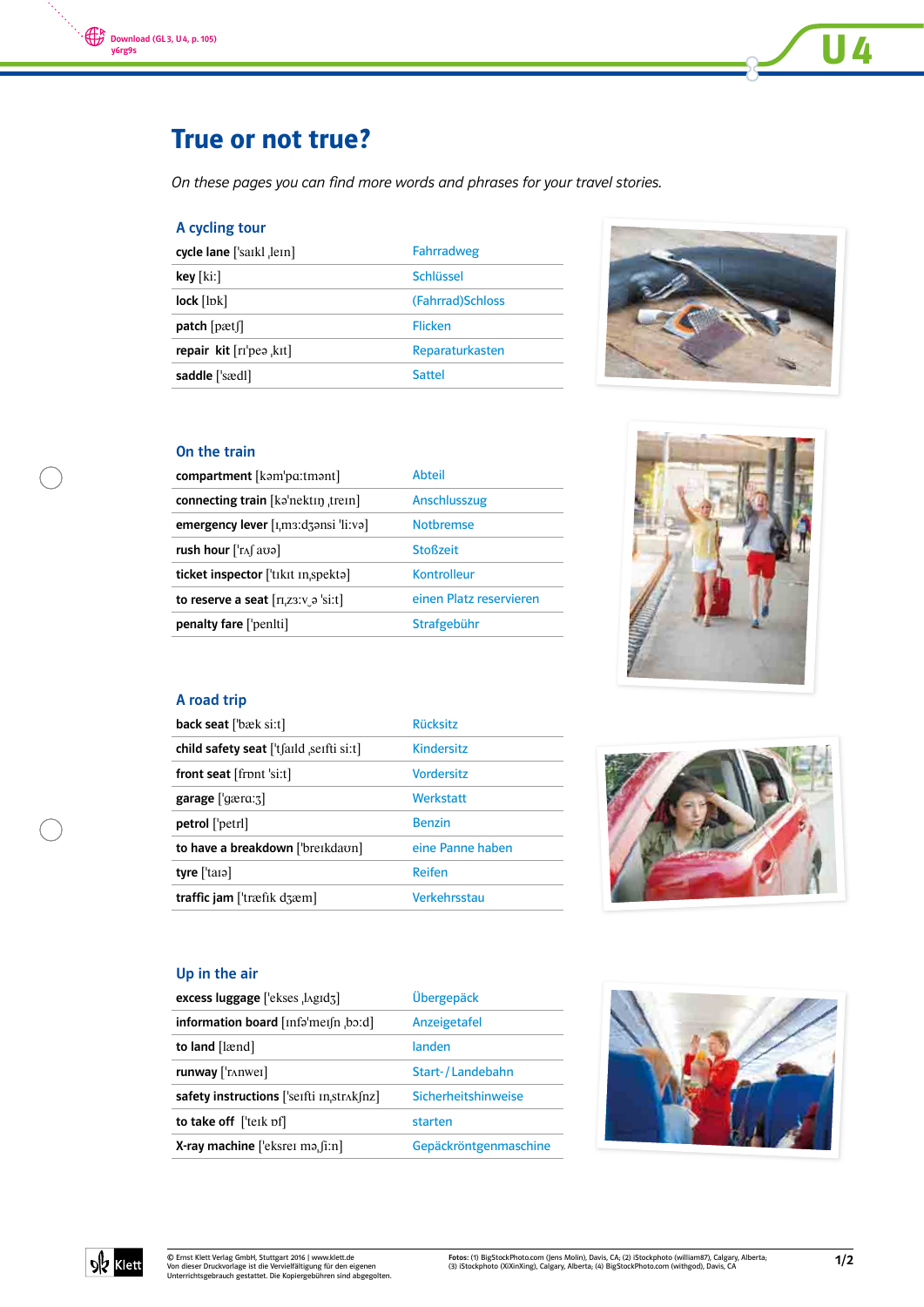

# True or not true?

On these pages you can find more words and phrases for your travel stories.

# A cycling tour

| cycle lane ['saikl , lein]     | Fahrradweg        |
|--------------------------------|-------------------|
| key [kiː]                      | Schlüssel         |
| $lock$ [ $ pk$ ]               | (Fahrrad) Schloss |
| $patch$ [pætf]                 | Flicken           |
| repair $kit$ $[ri'pe$ , $kit]$ | Reparaturkasten   |
| saddle ['sædl]                 | Sattel            |



**U4** 

# On the train

| compartment [kəm'pa:tmənt]                                                                          | <b>Abteil</b>           |
|-----------------------------------------------------------------------------------------------------|-------------------------|
| connecting train [kəˈnektɪŋ ˌtreɪn]                                                                 | Anschlusszug            |
| emergency lever [I <sub>I</sub> m3:d3ansi 'li:va]                                                   | <b>Notbremse</b>        |
| rush hour $[\text{Tr}\int a\sigma a]$                                                               | <b>Stoßzeit</b>         |
| ticket inspector ['tɪkɪt ɪnˌspektə]                                                                 | Kontrolleur             |
| to reserve a seat $\lceil \text{r}_1 \text{r}_2 \text{r}_3 \text{r}_5 \text{r}_5 \text{r}_6 \rceil$ | einen Platz reservieren |
| penalty fare ['peniti]                                                                              | Strafgebühr             |



### A road trip

| <b>back seat</b> ['bæk si:t]                   | <b>Rücksitz</b>   |
|------------------------------------------------|-------------------|
| child safety seat  't faild seifti si:t        | <b>Kindersitz</b> |
| front seat $[$ front 'si:t $]$                 | <b>Vordersitz</b> |
| garage ['gærɑ:ʒ]                               | Werkstatt         |
| <b>petrol</b> ['petrl]                         | <b>Benzin</b>     |
| to have a breakdown ['breɪkdaʊn]               | eine Panne haben  |
| tyre $[$ tara]                                 | Reifen            |
| traffic jam [ $\text{træfik}$ d $\text{zem}$ ] | Verkehrsstau      |



#### Up in the air

| excess luggage ['ekses , lagid3]                                                        | Übergepäck            |
|-----------------------------------------------------------------------------------------|-----------------------|
| information board $[inf\circ'$ mei $[n, b\circ d]$                                      | Anzeigetafel          |
| to land [lænd]                                                                          | landen                |
| $runway$ [ $'runwei$ ]                                                                  | Start-/Landebahn      |
| safety instructions $[$ 'seifti $\text{in}$ , str $\lambda$ k $\text{in}$ z $\text{in}$ | Sicherheitshinweise   |
| to take off $[$ teik pf $]$                                                             | starten               |
| <b>X-ray machine</b> ['eksrer ma. $[i:n]$                                               | Gepäckröntgenmaschine |